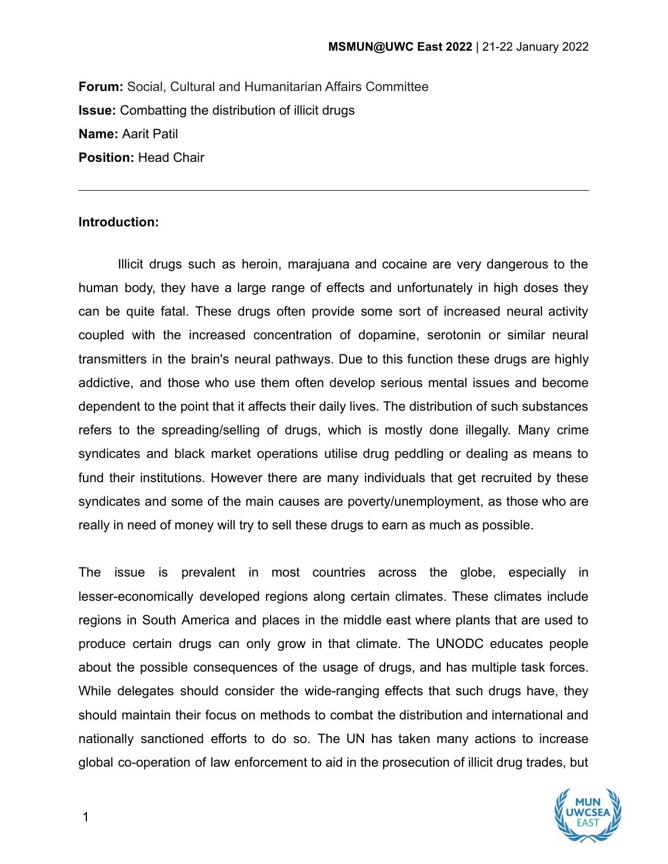**Forum:** Social, Cultural and Humanitarian Affairs Committee **Issue:** Combatting the distribution of illicit drugs **Name:** Aarit Patil **Position:** Head Chair

#### **Introduction:**

Illicit drugs such as heroin, marajuana and cocaine are very dangerous to the human body, they have a large range of effects and unfortunately in high doses they can be quite fatal. These drugs often provide some sort of increased neural activity coupled with the increased concentration of dopamine, serotonin or similar neural transmitters in the brain's neural pathways. Due to this function these drugs are highly addictive, and those who use them often develop serious mental issues and become dependent to the point that it affects their daily lives. The distribution of such substances refers to the spreading/selling of drugs, which is mostly done illegally. Many crime syndicates and black market operations utilise drug peddling or dealing as means to fund their institutions. However there are many individuals that get recruited by these syndicates and some of the main causes are poverty/unemployment, as those who are really in need of money will try to sell these drugs to earn as much as possible.

The issue is prevalent in most countries across the globe, especially in lesser-economically developed regions along certain climates. These climates include regions in South America and places in the middle east where plants that are used to produce certain drugs can only grow in that climate. The UNODC educates people about the possible consequences of the usage of drugs, and has multiple task forces. While delegates should consider the wide-ranging effects that such drugs have, they should maintain their focus on methods to combat the distribution and international and nationally sanctioned efforts to do so. The UN has taken many actions to increase global co-operation of law enforcement to aid in the prosecution of illicit drug trades, but

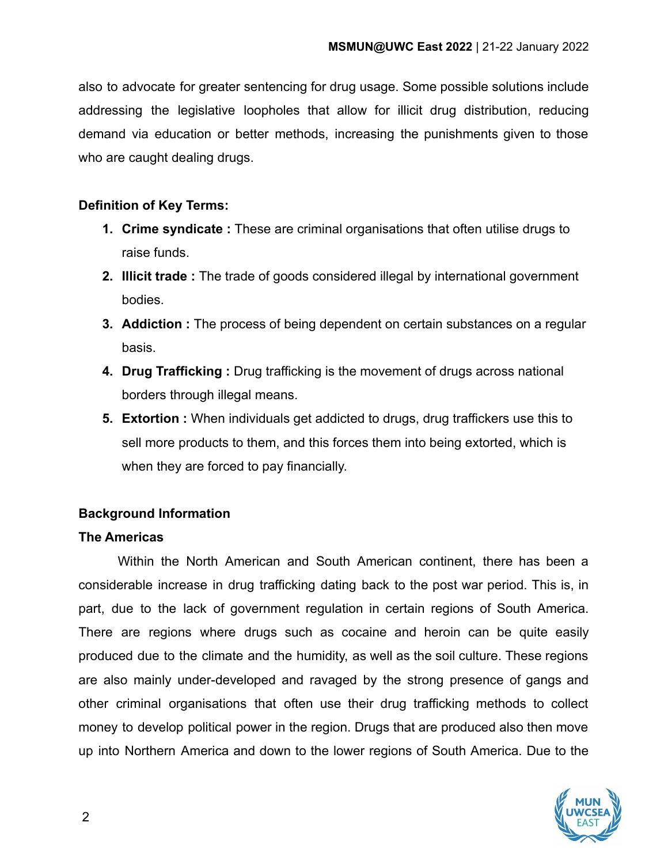also to advocate for greater sentencing for drug usage. Some possible solutions include addressing the legislative loopholes that allow for illicit drug distribution, reducing demand via education or better methods, increasing the punishments given to those who are caught dealing drugs.

#### **Definition of Key Terms:**

- **1. Crime syndicate :** These are criminal organisations that often utilise drugs to raise funds.
- **2. Illicit trade :** The trade of goods considered illegal by international government bodies.
- **3. Addiction :** The process of being dependent on certain substances on a regular basis.
- **4. Drug Trafficking :** Drug trafficking is the movement of drugs across national borders through illegal means.
- **5. Extortion :** When individuals get addicted to drugs, drug traffickers use this to sell more products to them, and this forces them into being extorted, which is when they are forced to pay financially.

## **Background Information**

#### **The Americas**

Within the North American and South American continent, there has been a considerable increase in drug trafficking dating back to the post war period. This is, in part, due to the lack of government regulation in certain regions of South America. There are regions where drugs such as cocaine and heroin can be quite easily produced due to the climate and the humidity, as well as the soil culture. These regions are also mainly under-developed and ravaged by the strong presence of gangs and other criminal organisations that often use their drug trafficking methods to collect money to develop political power in the region. Drugs that are produced also then move up into Northern America and down to the lower regions of South America. Due to the

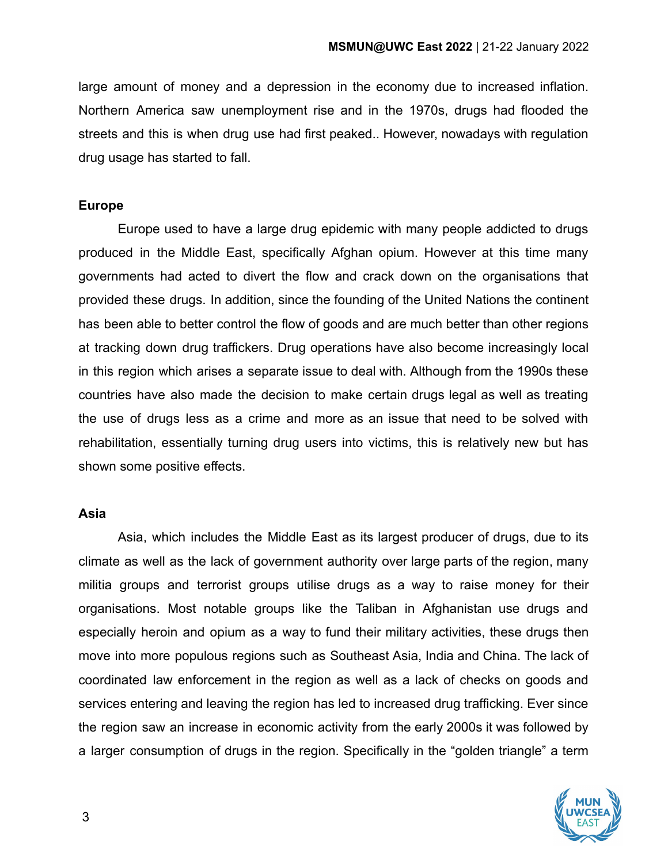large amount of money and a depression in the economy due to increased inflation. Northern America saw unemployment rise and in the 1970s, drugs had flooded the streets and this is when drug use had first peaked.. However, nowadays with regulation drug usage has started to fall.

#### **Europe**

Europe used to have a large drug epidemic with many people addicted to drugs produced in the Middle East, specifically Afghan opium. However at this time many governments had acted to divert the flow and crack down on the organisations that provided these drugs. In addition, since the founding of the United Nations the continent has been able to better control the flow of goods and are much better than other regions at tracking down drug traffickers. Drug operations have also become increasingly local in this region which arises a separate issue to deal with. Although from the 1990s these countries have also made the decision to make certain drugs legal as well as treating the use of drugs less as a crime and more as an issue that need to be solved with rehabilitation, essentially turning drug users into victims, this is relatively new but has shown some positive effects.

#### **Asia**

Asia, which includes the Middle East as its largest producer of drugs, due to its climate as well as the lack of government authority over large parts of the region, many militia groups and terrorist groups utilise drugs as a way to raise money for their organisations. Most notable groups like the Taliban in Afghanistan use drugs and especially heroin and opium as a way to fund their military activities, these drugs then move into more populous regions such as Southeast Asia, India and China. The lack of coordinated law enforcement in the region as well as a lack of checks on goods and services entering and leaving the region has led to increased drug trafficking. Ever since the region saw an increase in economic activity from the early 2000s it was followed by a larger consumption of drugs in the region. Specifically in the "golden triangle" a term

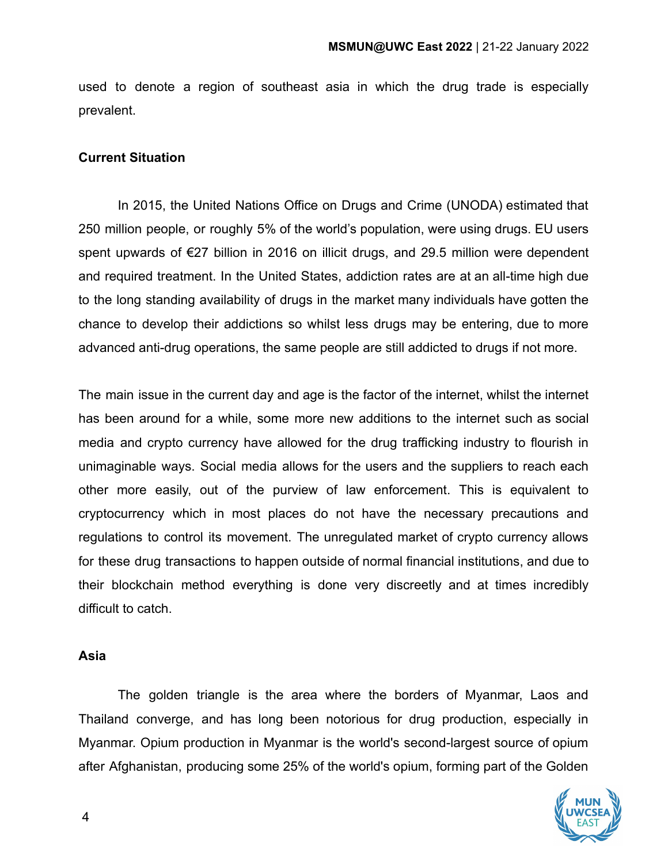used to denote a region of southeast asia in which the drug trade is especially prevalent.

#### **Current Situation**

In 2015, the United Nations Office on Drugs and Crime (UNODA) estimated that 250 million people, or roughly 5% of the world's population, were using drugs. EU users spent upwards of €27 billion in 2016 on illicit drugs, and 29.5 million were dependent and required treatment. In the United States, addiction rates are at an all-time high due to the long standing availability of drugs in the market many individuals have gotten the chance to develop their addictions so whilst less drugs may be entering, due to more advanced anti-drug operations, the same people are still addicted to drugs if not more.

The main issue in the current day and age is the factor of the internet, whilst the internet has been around for a while, some more new additions to the internet such as social media and crypto currency have allowed for the drug trafficking industry to flourish in unimaginable ways. Social media allows for the users and the suppliers to reach each other more easily, out of the purview of law enforcement. This is equivalent to cryptocurrency which in most places do not have the necessary precautions and regulations to control its movement. The unregulated market of crypto currency allows for these drug transactions to happen outside of normal financial institutions, and due to their blockchain method everything is done very discreetly and at times incredibly difficult to catch.

#### **Asia**

The golden triangle is the area where the borders of Myanmar, Laos and Thailand converge, and has long been notorious for drug production, especially in Myanmar. Opium production in Myanmar is the world's second-largest source of opium after Afghanistan, producing some 25% of the world's opium, forming part of the Golden

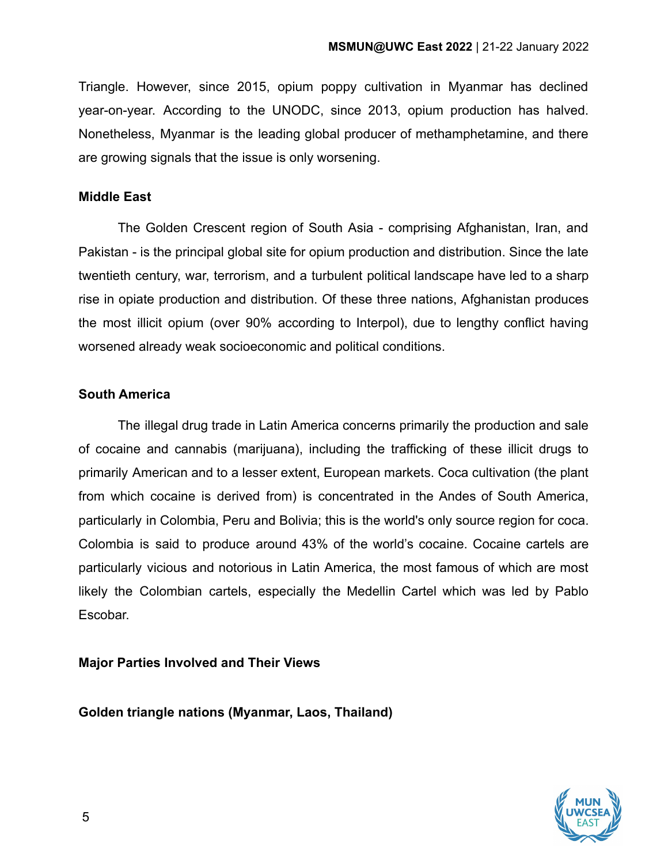Triangle. However, since 2015, opium poppy cultivation in Myanmar has declined year-on-year. According to the UNODC, since 2013, opium production has halved. Nonetheless, Myanmar is the leading global producer of methamphetamine, and there are growing signals that the issue is only worsening.

#### **Middle East**

The Golden Crescent region of South Asia - comprising Afghanistan, Iran, and Pakistan - is the principal global site for opium production and distribution. Since the late twentieth century, war, terrorism, and a turbulent political landscape have led to a sharp rise in opiate production and distribution. Of these three nations, Afghanistan produces the most illicit opium (over 90% according to Interpol), due to lengthy conflict having worsened already weak socioeconomic and political conditions.

## **South America**

The illegal drug trade in Latin America concerns primarily the production and sale of cocaine and cannabis (marijuana), including the trafficking of these illicit drugs to primarily American and to a lesser extent, European markets. Coca cultivation (the plant from which cocaine is derived from) is concentrated in the Andes of South America, particularly in Colombia, Peru and Bolivia; this is the world's only source region for coca. Colombia is said to produce around 43% of the world's cocaine. Cocaine cartels are particularly vicious and notorious in Latin America, the most famous of which are most likely the Colombian cartels, especially the Medellin Cartel which was led by Pablo Escobar.

**Major Parties Involved and Their Views**

**Golden triangle nations (Myanmar, Laos, Thailand)**

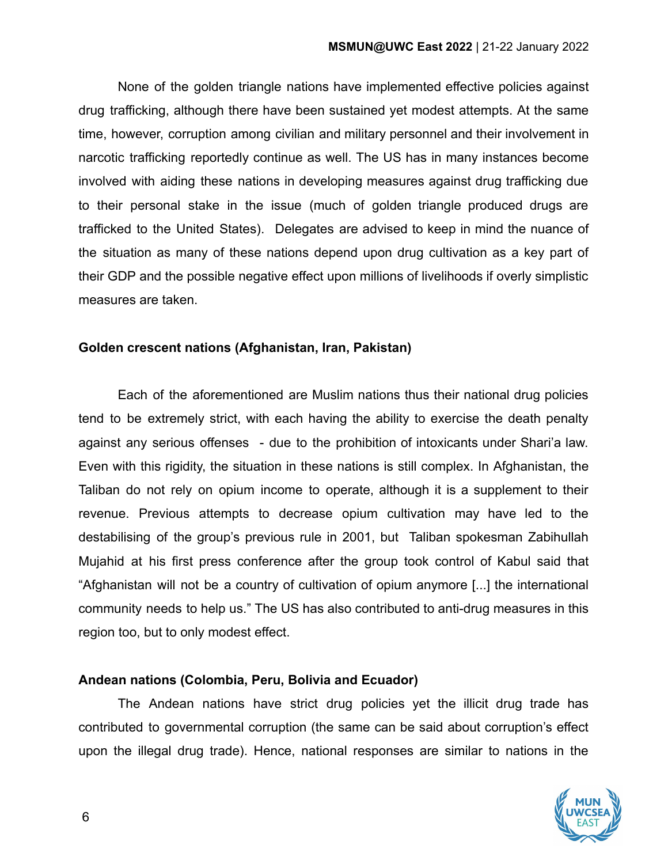None of the golden triangle nations have implemented effective policies against drug trafficking, although there have been sustained yet modest attempts. At the same time, however, corruption among civilian and military personnel and their involvement in narcotic trafficking reportedly continue as well. The US has in many instances become involved with aiding these nations in developing measures against drug trafficking due to their personal stake in the issue (much of golden triangle produced drugs are trafficked to the United States). Delegates are advised to keep in mind the nuance of the situation as many of these nations depend upon drug cultivation as a key part of their GDP and the possible negative effect upon millions of livelihoods if overly simplistic measures are taken.

#### **Golden crescent nations (Afghanistan, Iran, Pakistan)**

Each of the aforementioned are Muslim nations thus their national drug policies tend to be extremely strict, with each having the ability to exercise the death penalty against any serious offenses - due to the prohibition of intoxicants under Shari'a law. Even with this rigidity, the situation in these nations is still complex. In Afghanistan, the Taliban do not rely on opium income to operate, although it is a supplement to their revenue. Previous attempts to decrease opium cultivation may have led to the destabilising of the group's previous rule in 2001, but Taliban spokesman Zabihullah Mujahid at his first press conference after the group took control of Kabul said that "Afghanistan will not be a country of cultivation of opium anymore [...] the international community needs to help us." The US has also contributed to anti-drug measures in this region too, but to only modest effect.

## **Andean nations (Colombia, Peru, Bolivia and Ecuador)**

The Andean nations have strict drug policies yet the illicit drug trade has contributed to governmental corruption (the same can be said about corruption's effect upon the illegal drug trade). Hence, national responses are similar to nations in the

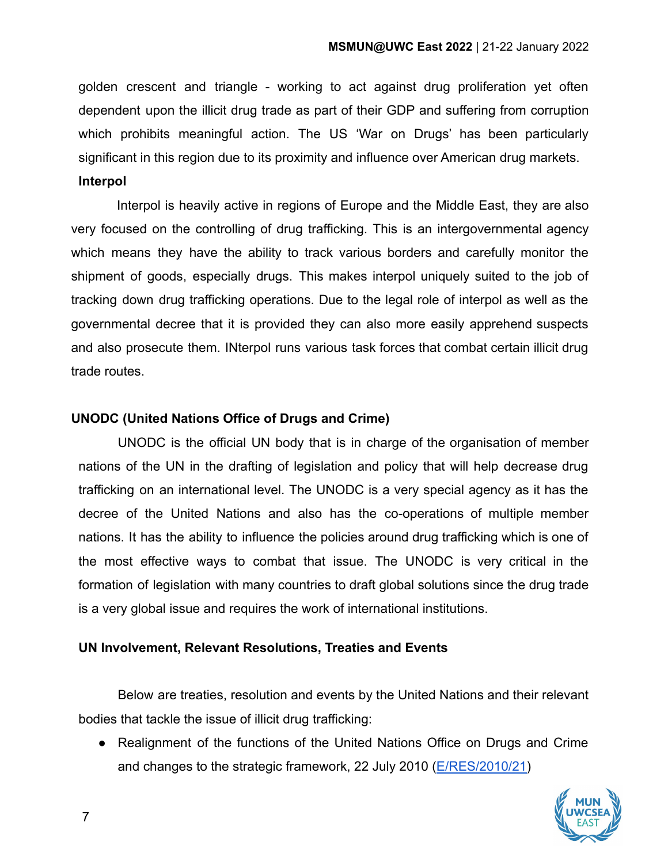golden crescent and triangle - working to act against drug proliferation yet often dependent upon the illicit drug trade as part of their GDP and suffering from corruption which prohibits meaningful action. The US 'War on Drugs' has been particularly significant in this region due to its proximity and influence over American drug markets. **Interpol**

Interpol is heavily active in regions of Europe and the Middle East, they are also very focused on the controlling of drug trafficking. This is an intergovernmental agency which means they have the ability to track various borders and carefully monitor the shipment of goods, especially drugs. This makes interpol uniquely suited to the job of tracking down drug trafficking operations. Due to the legal role of interpol as well as the governmental decree that it is provided they can also more easily apprehend suspects and also prosecute them. INterpol runs various task forces that combat certain illicit drug trade routes.

# **UNODC (United Nations Office of Drugs and Crime)**

UNODC is the official UN body that is in charge of the organisation of member nations of the UN in the drafting of legislation and policy that will help decrease drug trafficking on an international level. The UNODC is a very special agency as it has the decree of the United Nations and also has the co-operations of multiple member nations. It has the ability to influence the policies around drug trafficking which is one of the most effective ways to combat that issue. The UNODC is very critical in the formation of legislation with many countries to draft global solutions since the drug trade is a very global issue and requires the work of international institutions.

## **UN Involvement, Relevant Resolutions, Treaties and Events**

Below are treaties, resolution and events by the United Nations and their relevant bodies that tackle the issue of illicit drug trafficking:

● Realignment of the functions of the United Nations Office on Drugs and Crime and changes to the strategic framework, 22 July 2010 ([E/RES/2010/21\)](https://www.unodc.org/documents/commissions/CND/Drug_Resolutions/2010-2019/2010/ECOSOC_Res-2010-21.pdf)

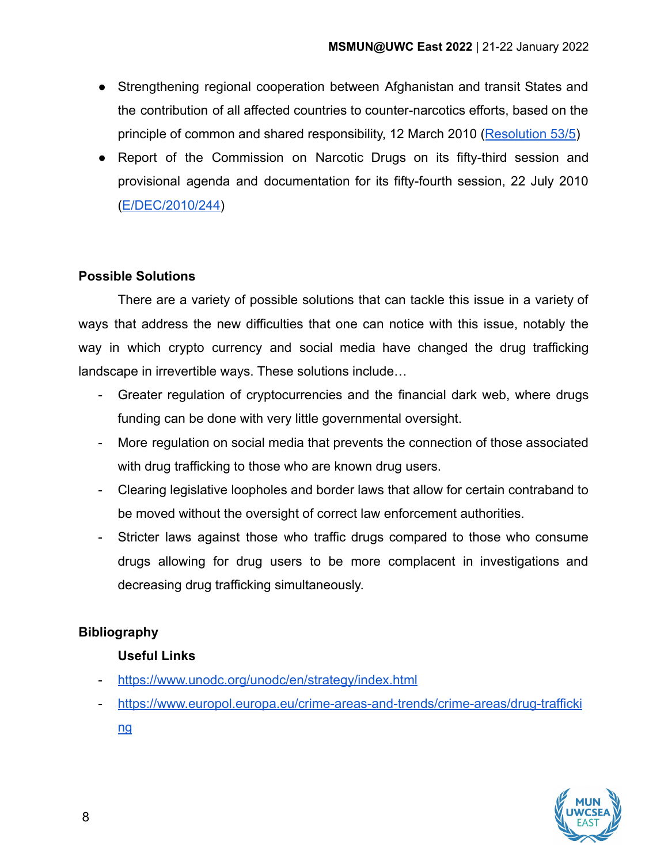- Strengthening regional cooperation between Afghanistan and transit States and the contribution of all affected countries to counter-narcotics efforts, based on the principle of common and shared responsibility, 12 March 2010 ([Resolution 53/5](https://www.unodc.org/documents/commissions/CND/Drug_Resolutions/2010-2019/2010/CND_Res-53-5.pdf))
- Report of the Commission on Narcotic Drugs on its fifty-third session and provisional agenda and documentation for its fifty-fourth session, 22 July 2010 ([E/DEC/2010/244](https://www.unodc.org/documents/commissions/CND/Drug_Resolutions/2010-2019/2010/ECOSOC_Decision-2010-244.pdf))

## **Possible Solutions**

There are a variety of possible solutions that can tackle this issue in a variety of ways that address the new difficulties that one can notice with this issue, notably the way in which crypto currency and social media have changed the drug trafficking landscape in irrevertible ways. These solutions include…

- Greater regulation of cryptocurrencies and the financial dark web, where drugs funding can be done with very little governmental oversight.
- More regulation on social media that prevents the connection of those associated with drug trafficking to those who are known drug users.
- Clearing legislative loopholes and border laws that allow for certain contraband to be moved without the oversight of correct law enforcement authorities.
- Stricter laws against those who traffic drugs compared to those who consume drugs allowing for drug users to be more complacent in investigations and decreasing drug trafficking simultaneously.

## **Bibliography**

## **Useful Links**

- <https://www.unodc.org/unodc/en/strategy/index.html>
- [https://www.europol.europa.eu/crime-areas-and-trends/crime-areas/drug-trafficki](https://www.europol.europa.eu/crime-areas-and-trends/crime-areas/drug-trafficking)

[ng](https://www.europol.europa.eu/crime-areas-and-trends/crime-areas/drug-trafficking)